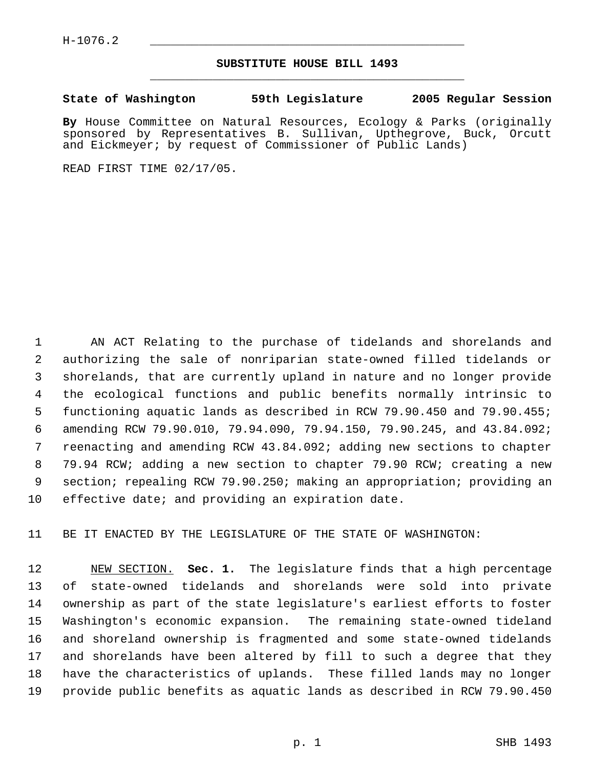## **SUBSTITUTE HOUSE BILL 1493** \_\_\_\_\_\_\_\_\_\_\_\_\_\_\_\_\_\_\_\_\_\_\_\_\_\_\_\_\_\_\_\_\_\_\_\_\_\_\_\_\_\_\_\_\_

**State of Washington 59th Legislature 2005 Regular Session**

**By** House Committee on Natural Resources, Ecology & Parks (originally sponsored by Representatives B. Sullivan, Upthegrove, Buck, Orcutt and Eickmeyer; by request of Commissioner of Public Lands)

READ FIRST TIME 02/17/05.

 AN ACT Relating to the purchase of tidelands and shorelands and authorizing the sale of nonriparian state-owned filled tidelands or shorelands, that are currently upland in nature and no longer provide the ecological functions and public benefits normally intrinsic to functioning aquatic lands as described in RCW 79.90.450 and 79.90.455; amending RCW 79.90.010, 79.94.090, 79.94.150, 79.90.245, and 43.84.092; reenacting and amending RCW 43.84.092; adding new sections to chapter 79.94 RCW; adding a new section to chapter 79.90 RCW; creating a new section; repealing RCW 79.90.250; making an appropriation; providing an effective date; and providing an expiration date.

BE IT ENACTED BY THE LEGISLATURE OF THE STATE OF WASHINGTON:

 NEW SECTION. **Sec. 1.** The legislature finds that a high percentage of state-owned tidelands and shorelands were sold into private ownership as part of the state legislature's earliest efforts to foster Washington's economic expansion. The remaining state-owned tideland and shoreland ownership is fragmented and some state-owned tidelands and shorelands have been altered by fill to such a degree that they have the characteristics of uplands. These filled lands may no longer provide public benefits as aquatic lands as described in RCW 79.90.450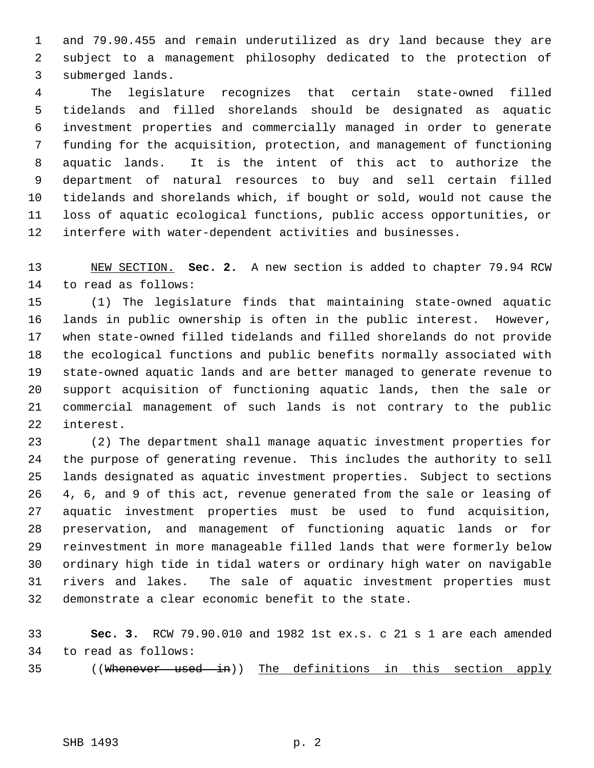and 79.90.455 and remain underutilized as dry land because they are subject to a management philosophy dedicated to the protection of submerged lands.

 The legislature recognizes that certain state-owned filled tidelands and filled shorelands should be designated as aquatic investment properties and commercially managed in order to generate funding for the acquisition, protection, and management of functioning aquatic lands. It is the intent of this act to authorize the department of natural resources to buy and sell certain filled tidelands and shorelands which, if bought or sold, would not cause the loss of aquatic ecological functions, public access opportunities, or interfere with water-dependent activities and businesses.

 NEW SECTION. **Sec. 2.** A new section is added to chapter 79.94 RCW to read as follows:

 (1) The legislature finds that maintaining state-owned aquatic lands in public ownership is often in the public interest. However, when state-owned filled tidelands and filled shorelands do not provide the ecological functions and public benefits normally associated with state-owned aquatic lands and are better managed to generate revenue to support acquisition of functioning aquatic lands, then the sale or commercial management of such lands is not contrary to the public interest.

 (2) The department shall manage aquatic investment properties for the purpose of generating revenue. This includes the authority to sell lands designated as aquatic investment properties. Subject to sections 4, 6, and 9 of this act, revenue generated from the sale or leasing of aquatic investment properties must be used to fund acquisition, preservation, and management of functioning aquatic lands or for reinvestment in more manageable filled lands that were formerly below ordinary high tide in tidal waters or ordinary high water on navigable rivers and lakes. The sale of aquatic investment properties must demonstrate a clear economic benefit to the state.

 **Sec. 3.** RCW 79.90.010 and 1982 1st ex.s. c 21 s 1 are each amended to read as follows:

((Whenever used in)) The definitions in this section apply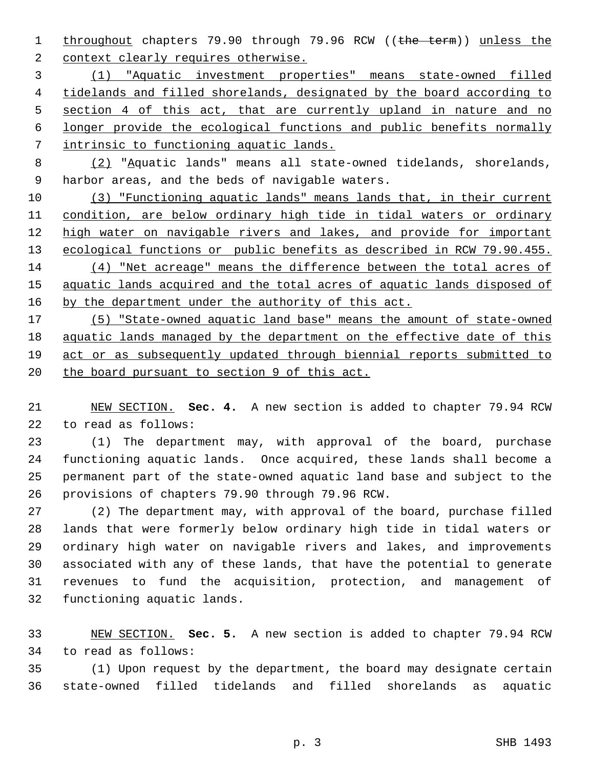1 throughout chapters 79.90 through 79.96 RCW ((the term)) unless the 2 context clearly requires otherwise.

 (1) "Aquatic investment properties" means state-owned filled 4 tidelands and filled shorelands, designated by the board according to 5 section 4 of this act, that are currently upland in nature and no longer provide the ecological functions and public benefits normally intrinsic to functioning aquatic lands.

 (2) "Aquatic lands" means all state-owned tidelands, shorelands, harbor areas, and the beds of navigable waters.

 (3) "Functioning aquatic lands" means lands that, in their current condition, are below ordinary high tide in tidal waters or ordinary 12 high water on navigable rivers and lakes, and provide for important 13 ecological functions or public benefits as described in RCW 79.90.455. (4) "Net acreage" means the difference between the total acres of aquatic lands acquired and the total acres of aquatic lands disposed of 16 by the department under the authority of this act.

 (5) "State-owned aquatic land base" means the amount of state-owned aquatic lands managed by the department on the effective date of this act or as subsequently updated through biennial reports submitted to 20 the board pursuant to section 9 of this act.

 NEW SECTION. **Sec. 4.** A new section is added to chapter 79.94 RCW to read as follows:

 (1) The department may, with approval of the board, purchase functioning aquatic lands. Once acquired, these lands shall become a permanent part of the state-owned aquatic land base and subject to the provisions of chapters 79.90 through 79.96 RCW.

 (2) The department may, with approval of the board, purchase filled lands that were formerly below ordinary high tide in tidal waters or ordinary high water on navigable rivers and lakes, and improvements associated with any of these lands, that have the potential to generate revenues to fund the acquisition, protection, and management of functioning aquatic lands.

 NEW SECTION. **Sec. 5.** A new section is added to chapter 79.94 RCW to read as follows:

 (1) Upon request by the department, the board may designate certain state-owned filled tidelands and filled shorelands as aquatic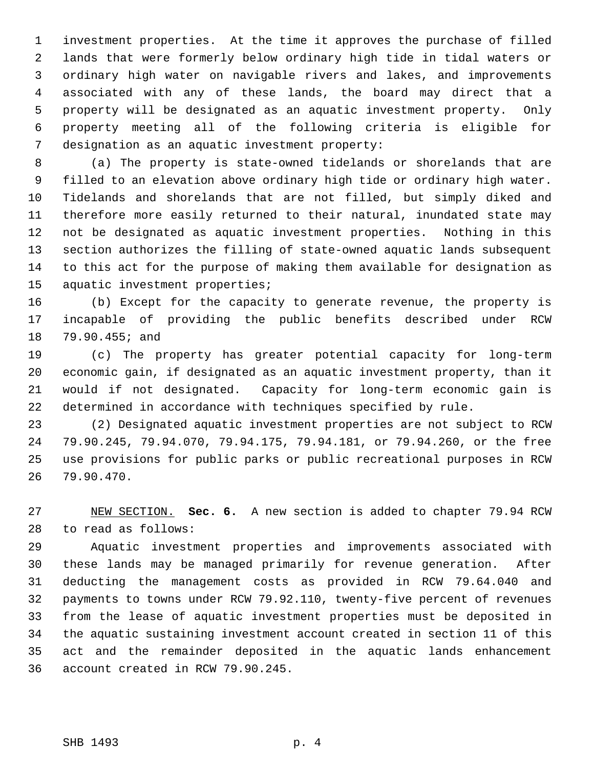investment properties. At the time it approves the purchase of filled lands that were formerly below ordinary high tide in tidal waters or ordinary high water on navigable rivers and lakes, and improvements associated with any of these lands, the board may direct that a property will be designated as an aquatic investment property. Only property meeting all of the following criteria is eligible for designation as an aquatic investment property:

 (a) The property is state-owned tidelands or shorelands that are filled to an elevation above ordinary high tide or ordinary high water. Tidelands and shorelands that are not filled, but simply diked and therefore more easily returned to their natural, inundated state may not be designated as aquatic investment properties. Nothing in this section authorizes the filling of state-owned aquatic lands subsequent to this act for the purpose of making them available for designation as aquatic investment properties;

 (b) Except for the capacity to generate revenue, the property is incapable of providing the public benefits described under RCW 79.90.455; and

 (c) The property has greater potential capacity for long-term economic gain, if designated as an aquatic investment property, than it would if not designated. Capacity for long-term economic gain is determined in accordance with techniques specified by rule.

 (2) Designated aquatic investment properties are not subject to RCW 79.90.245, 79.94.070, 79.94.175, 79.94.181, or 79.94.260, or the free use provisions for public parks or public recreational purposes in RCW 79.90.470.

 NEW SECTION. **Sec. 6.** A new section is added to chapter 79.94 RCW to read as follows:

 Aquatic investment properties and improvements associated with these lands may be managed primarily for revenue generation. After deducting the management costs as provided in RCW 79.64.040 and payments to towns under RCW 79.92.110, twenty-five percent of revenues from the lease of aquatic investment properties must be deposited in the aquatic sustaining investment account created in section 11 of this act and the remainder deposited in the aquatic lands enhancement account created in RCW 79.90.245.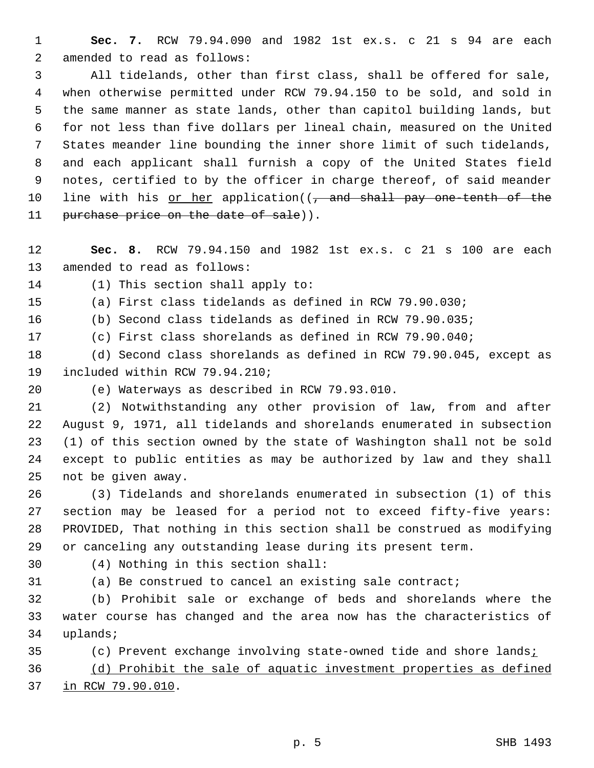**Sec. 7.** RCW 79.94.090 and 1982 1st ex.s. c 21 s 94 are each amended to read as follows:

 All tidelands, other than first class, shall be offered for sale, when otherwise permitted under RCW 79.94.150 to be sold, and sold in the same manner as state lands, other than capitol building lands, but for not less than five dollars per lineal chain, measured on the United States meander line bounding the inner shore limit of such tidelands, and each applicant shall furnish a copy of the United States field notes, certified to by the officer in charge thereof, of said meander 10 line with his or her application((, and shall pay one tenth of the 11 purchase price on the date of sale)).

 **Sec. 8.** RCW 79.94.150 and 1982 1st ex.s. c 21 s 100 are each amended to read as follows:

(1) This section shall apply to:

(a) First class tidelands as defined in RCW 79.90.030;

(b) Second class tidelands as defined in RCW 79.90.035;

(c) First class shorelands as defined in RCW 79.90.040;

 (d) Second class shorelands as defined in RCW 79.90.045, except as included within RCW 79.94.210;

(e) Waterways as described in RCW 79.93.010.

 (2) Notwithstanding any other provision of law, from and after August 9, 1971, all tidelands and shorelands enumerated in subsection (1) of this section owned by the state of Washington shall not be sold except to public entities as may be authorized by law and they shall not be given away.

 (3) Tidelands and shorelands enumerated in subsection (1) of this section may be leased for a period not to exceed fifty-five years: PROVIDED, That nothing in this section shall be construed as modifying or canceling any outstanding lease during its present term.

(4) Nothing in this section shall:

(a) Be construed to cancel an existing sale contract;

 (b) Prohibit sale or exchange of beds and shorelands where the water course has changed and the area now has the characteristics of uplands;

(c) Prevent exchange involving state-owned tide and shore lands;

 (d) Prohibit the sale of aquatic investment properties as defined in RCW 79.90.010.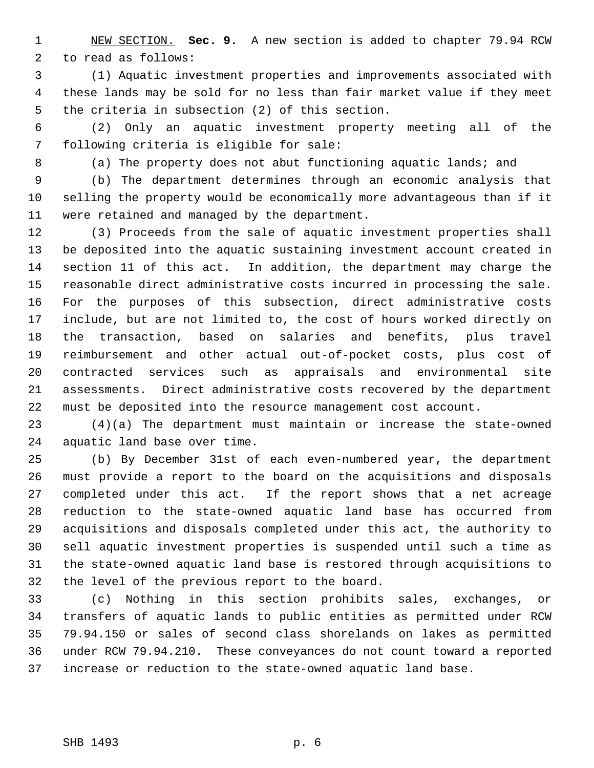NEW SECTION. **Sec. 9.** A new section is added to chapter 79.94 RCW to read as follows:

 (1) Aquatic investment properties and improvements associated with these lands may be sold for no less than fair market value if they meet the criteria in subsection (2) of this section.

 (2) Only an aquatic investment property meeting all of the following criteria is eligible for sale:

(a) The property does not abut functioning aquatic lands; and

 (b) The department determines through an economic analysis that selling the property would be economically more advantageous than if it were retained and managed by the department.

 (3) Proceeds from the sale of aquatic investment properties shall be deposited into the aquatic sustaining investment account created in section 11 of this act. In addition, the department may charge the reasonable direct administrative costs incurred in processing the sale. For the purposes of this subsection, direct administrative costs include, but are not limited to, the cost of hours worked directly on the transaction, based on salaries and benefits, plus travel reimbursement and other actual out-of-pocket costs, plus cost of contracted services such as appraisals and environmental site assessments. Direct administrative costs recovered by the department must be deposited into the resource management cost account.

 (4)(a) The department must maintain or increase the state-owned aquatic land base over time.

 (b) By December 31st of each even-numbered year, the department must provide a report to the board on the acquisitions and disposals completed under this act. If the report shows that a net acreage reduction to the state-owned aquatic land base has occurred from acquisitions and disposals completed under this act, the authority to sell aquatic investment properties is suspended until such a time as the state-owned aquatic land base is restored through acquisitions to the level of the previous report to the board.

 (c) Nothing in this section prohibits sales, exchanges, or transfers of aquatic lands to public entities as permitted under RCW 79.94.150 or sales of second class shorelands on lakes as permitted under RCW 79.94.210. These conveyances do not count toward a reported increase or reduction to the state-owned aquatic land base.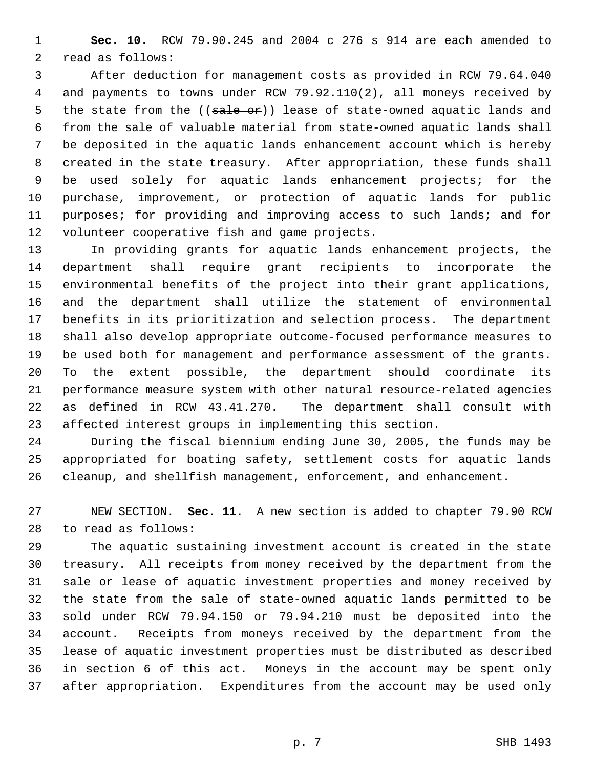**Sec. 10.** RCW 79.90.245 and 2004 c 276 s 914 are each amended to read as follows:

 After deduction for management costs as provided in RCW 79.64.040 and payments to towns under RCW 79.92.110(2), all moneys received by 5 the state from the  $((\text{safe } \text{of}))$  lease of state-owned aquatic lands and from the sale of valuable material from state-owned aquatic lands shall be deposited in the aquatic lands enhancement account which is hereby created in the state treasury. After appropriation, these funds shall be used solely for aquatic lands enhancement projects; for the purchase, improvement, or protection of aquatic lands for public purposes; for providing and improving access to such lands; and for volunteer cooperative fish and game projects.

 In providing grants for aquatic lands enhancement projects, the department shall require grant recipients to incorporate the environmental benefits of the project into their grant applications, and the department shall utilize the statement of environmental benefits in its prioritization and selection process. The department shall also develop appropriate outcome-focused performance measures to be used both for management and performance assessment of the grants. To the extent possible, the department should coordinate its performance measure system with other natural resource-related agencies as defined in RCW 43.41.270. The department shall consult with affected interest groups in implementing this section.

 During the fiscal biennium ending June 30, 2005, the funds may be appropriated for boating safety, settlement costs for aquatic lands cleanup, and shellfish management, enforcement, and enhancement.

 NEW SECTION. **Sec. 11.** A new section is added to chapter 79.90 RCW to read as follows:

 The aquatic sustaining investment account is created in the state treasury. All receipts from money received by the department from the sale or lease of aquatic investment properties and money received by the state from the sale of state-owned aquatic lands permitted to be sold under RCW 79.94.150 or 79.94.210 must be deposited into the account. Receipts from moneys received by the department from the lease of aquatic investment properties must be distributed as described in section 6 of this act. Moneys in the account may be spent only after appropriation. Expenditures from the account may be used only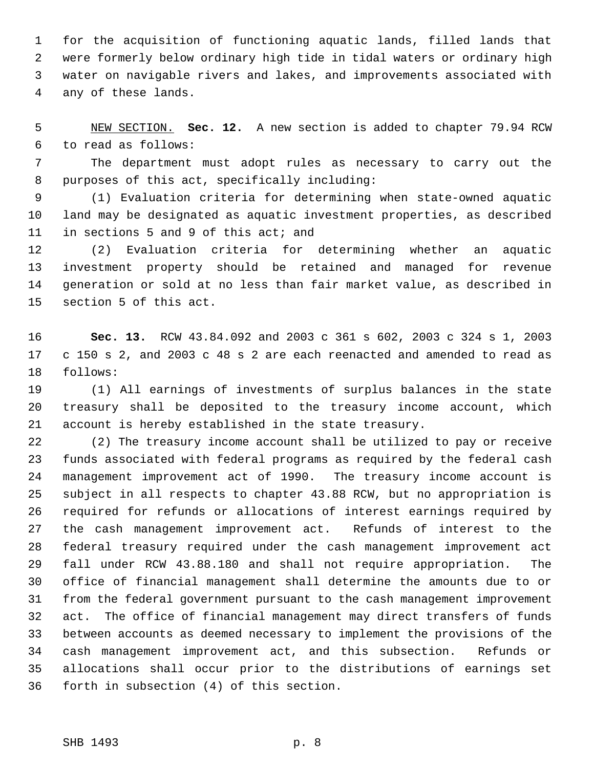for the acquisition of functioning aquatic lands, filled lands that were formerly below ordinary high tide in tidal waters or ordinary high water on navigable rivers and lakes, and improvements associated with any of these lands.

 NEW SECTION. **Sec. 12.** A new section is added to chapter 79.94 RCW to read as follows:

 The department must adopt rules as necessary to carry out the purposes of this act, specifically including:

 (1) Evaluation criteria for determining when state-owned aquatic land may be designated as aquatic investment properties, as described in sections 5 and 9 of this act; and

 (2) Evaluation criteria for determining whether an aquatic investment property should be retained and managed for revenue generation or sold at no less than fair market value, as described in section 5 of this act.

 **Sec. 13.** RCW 43.84.092 and 2003 c 361 s 602, 2003 c 324 s 1, 2003 c 150 s 2, and 2003 c 48 s 2 are each reenacted and amended to read as follows:

 (1) All earnings of investments of surplus balances in the state treasury shall be deposited to the treasury income account, which account is hereby established in the state treasury.

 (2) The treasury income account shall be utilized to pay or receive funds associated with federal programs as required by the federal cash management improvement act of 1990. The treasury income account is subject in all respects to chapter 43.88 RCW, but no appropriation is required for refunds or allocations of interest earnings required by the cash management improvement act. Refunds of interest to the federal treasury required under the cash management improvement act fall under RCW 43.88.180 and shall not require appropriation. The office of financial management shall determine the amounts due to or from the federal government pursuant to the cash management improvement act. The office of financial management may direct transfers of funds between accounts as deemed necessary to implement the provisions of the cash management improvement act, and this subsection. Refunds or allocations shall occur prior to the distributions of earnings set forth in subsection (4) of this section.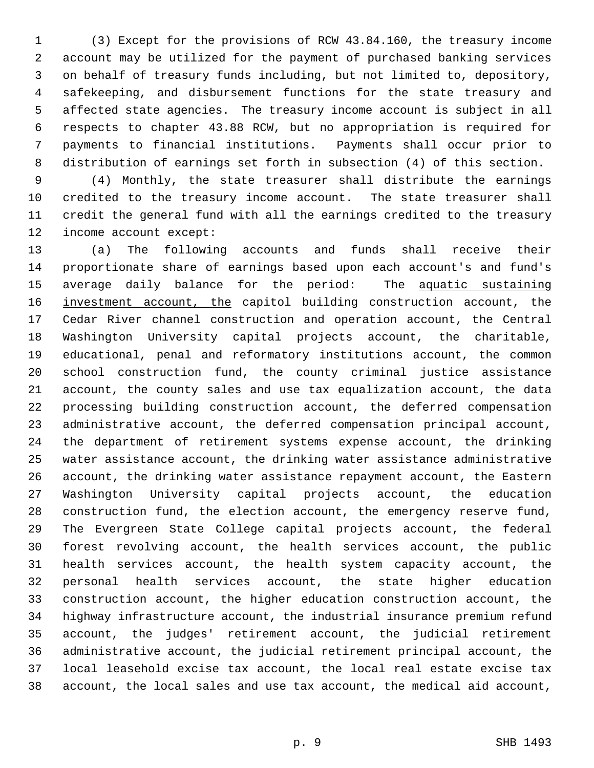(3) Except for the provisions of RCW 43.84.160, the treasury income account may be utilized for the payment of purchased banking services on behalf of treasury funds including, but not limited to, depository, safekeeping, and disbursement functions for the state treasury and affected state agencies. The treasury income account is subject in all respects to chapter 43.88 RCW, but no appropriation is required for payments to financial institutions. Payments shall occur prior to distribution of earnings set forth in subsection (4) of this section.

 (4) Monthly, the state treasurer shall distribute the earnings credited to the treasury income account. The state treasurer shall credit the general fund with all the earnings credited to the treasury income account except:

 (a) The following accounts and funds shall receive their proportionate share of earnings based upon each account's and fund's 15 average daily balance for the period: The aquatic sustaining 16 investment account, the capitol building construction account, the Cedar River channel construction and operation account, the Central Washington University capital projects account, the charitable, educational, penal and reformatory institutions account, the common school construction fund, the county criminal justice assistance account, the county sales and use tax equalization account, the data processing building construction account, the deferred compensation administrative account, the deferred compensation principal account, the department of retirement systems expense account, the drinking water assistance account, the drinking water assistance administrative account, the drinking water assistance repayment account, the Eastern Washington University capital projects account, the education construction fund, the election account, the emergency reserve fund, The Evergreen State College capital projects account, the federal forest revolving account, the health services account, the public health services account, the health system capacity account, the personal health services account, the state higher education construction account, the higher education construction account, the highway infrastructure account, the industrial insurance premium refund account, the judges' retirement account, the judicial retirement administrative account, the judicial retirement principal account, the local leasehold excise tax account, the local real estate excise tax account, the local sales and use tax account, the medical aid account,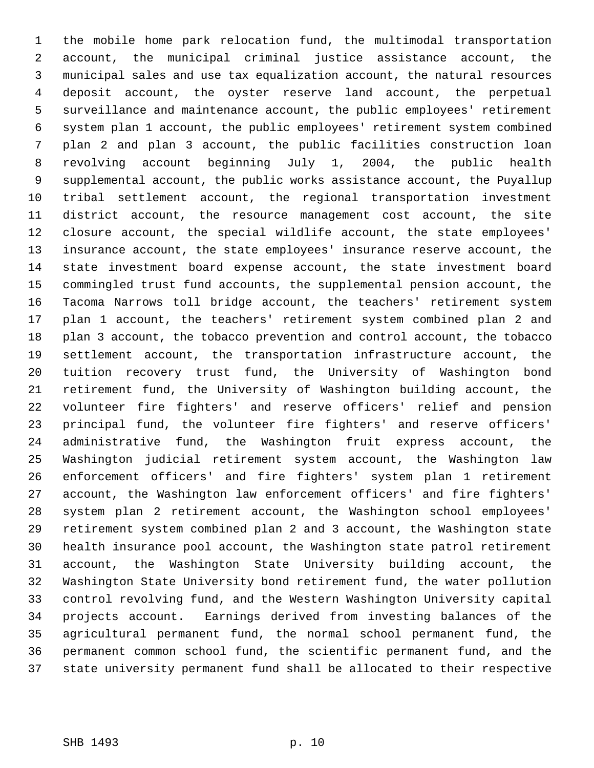the mobile home park relocation fund, the multimodal transportation account, the municipal criminal justice assistance account, the municipal sales and use tax equalization account, the natural resources deposit account, the oyster reserve land account, the perpetual surveillance and maintenance account, the public employees' retirement system plan 1 account, the public employees' retirement system combined plan 2 and plan 3 account, the public facilities construction loan revolving account beginning July 1, 2004, the public health supplemental account, the public works assistance account, the Puyallup tribal settlement account, the regional transportation investment district account, the resource management cost account, the site closure account, the special wildlife account, the state employees' insurance account, the state employees' insurance reserve account, the state investment board expense account, the state investment board commingled trust fund accounts, the supplemental pension account, the Tacoma Narrows toll bridge account, the teachers' retirement system plan 1 account, the teachers' retirement system combined plan 2 and plan 3 account, the tobacco prevention and control account, the tobacco settlement account, the transportation infrastructure account, the tuition recovery trust fund, the University of Washington bond retirement fund, the University of Washington building account, the volunteer fire fighters' and reserve officers' relief and pension principal fund, the volunteer fire fighters' and reserve officers' administrative fund, the Washington fruit express account, the Washington judicial retirement system account, the Washington law enforcement officers' and fire fighters' system plan 1 retirement account, the Washington law enforcement officers' and fire fighters' system plan 2 retirement account, the Washington school employees' retirement system combined plan 2 and 3 account, the Washington state health insurance pool account, the Washington state patrol retirement account, the Washington State University building account, the Washington State University bond retirement fund, the water pollution control revolving fund, and the Western Washington University capital projects account. Earnings derived from investing balances of the agricultural permanent fund, the normal school permanent fund, the permanent common school fund, the scientific permanent fund, and the state university permanent fund shall be allocated to their respective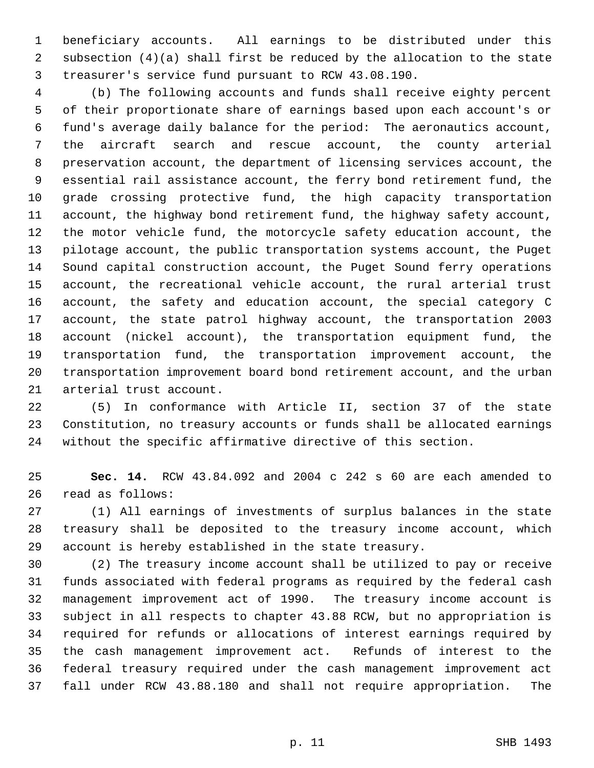beneficiary accounts. All earnings to be distributed under this subsection (4)(a) shall first be reduced by the allocation to the state treasurer's service fund pursuant to RCW 43.08.190.

 (b) The following accounts and funds shall receive eighty percent of their proportionate share of earnings based upon each account's or fund's average daily balance for the period: The aeronautics account, the aircraft search and rescue account, the county arterial preservation account, the department of licensing services account, the essential rail assistance account, the ferry bond retirement fund, the grade crossing protective fund, the high capacity transportation account, the highway bond retirement fund, the highway safety account, the motor vehicle fund, the motorcycle safety education account, the pilotage account, the public transportation systems account, the Puget Sound capital construction account, the Puget Sound ferry operations account, the recreational vehicle account, the rural arterial trust account, the safety and education account, the special category C account, the state patrol highway account, the transportation 2003 account (nickel account), the transportation equipment fund, the transportation fund, the transportation improvement account, the transportation improvement board bond retirement account, and the urban arterial trust account.

 (5) In conformance with Article II, section 37 of the state Constitution, no treasury accounts or funds shall be allocated earnings without the specific affirmative directive of this section.

 **Sec. 14.** RCW 43.84.092 and 2004 c 242 s 60 are each amended to read as follows:

 (1) All earnings of investments of surplus balances in the state treasury shall be deposited to the treasury income account, which account is hereby established in the state treasury.

 (2) The treasury income account shall be utilized to pay or receive funds associated with federal programs as required by the federal cash management improvement act of 1990. The treasury income account is subject in all respects to chapter 43.88 RCW, but no appropriation is required for refunds or allocations of interest earnings required by the cash management improvement act. Refunds of interest to the federal treasury required under the cash management improvement act fall under RCW 43.88.180 and shall not require appropriation. The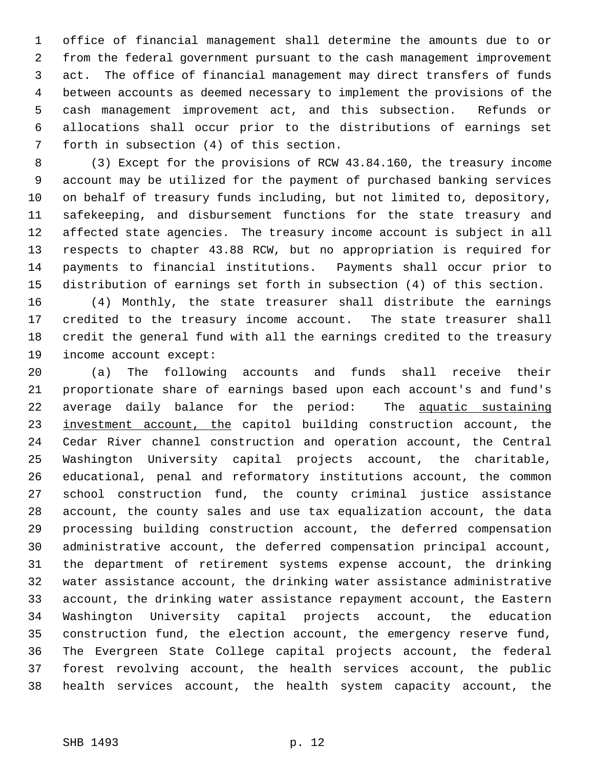office of financial management shall determine the amounts due to or from the federal government pursuant to the cash management improvement act. The office of financial management may direct transfers of funds between accounts as deemed necessary to implement the provisions of the cash management improvement act, and this subsection. Refunds or allocations shall occur prior to the distributions of earnings set forth in subsection (4) of this section.

 (3) Except for the provisions of RCW 43.84.160, the treasury income account may be utilized for the payment of purchased banking services on behalf of treasury funds including, but not limited to, depository, safekeeping, and disbursement functions for the state treasury and affected state agencies. The treasury income account is subject in all respects to chapter 43.88 RCW, but no appropriation is required for payments to financial institutions. Payments shall occur prior to distribution of earnings set forth in subsection (4) of this section.

 (4) Monthly, the state treasurer shall distribute the earnings credited to the treasury income account. The state treasurer shall credit the general fund with all the earnings credited to the treasury income account except:

 (a) The following accounts and funds shall receive their proportionate share of earnings based upon each account's and fund's average daily balance for the period: The aquatic sustaining 23 investment account, the capitol building construction account, the Cedar River channel construction and operation account, the Central Washington University capital projects account, the charitable, educational, penal and reformatory institutions account, the common school construction fund, the county criminal justice assistance account, the county sales and use tax equalization account, the data processing building construction account, the deferred compensation administrative account, the deferred compensation principal account, the department of retirement systems expense account, the drinking water assistance account, the drinking water assistance administrative account, the drinking water assistance repayment account, the Eastern Washington University capital projects account, the education construction fund, the election account, the emergency reserve fund, The Evergreen State College capital projects account, the federal forest revolving account, the health services account, the public health services account, the health system capacity account, the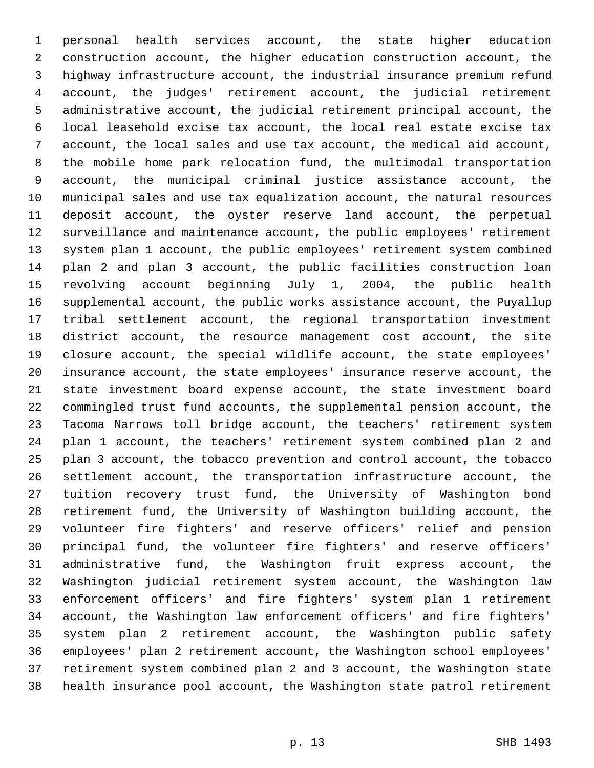personal health services account, the state higher education construction account, the higher education construction account, the highway infrastructure account, the industrial insurance premium refund account, the judges' retirement account, the judicial retirement administrative account, the judicial retirement principal account, the local leasehold excise tax account, the local real estate excise tax account, the local sales and use tax account, the medical aid account, the mobile home park relocation fund, the multimodal transportation account, the municipal criminal justice assistance account, the municipal sales and use tax equalization account, the natural resources deposit account, the oyster reserve land account, the perpetual surveillance and maintenance account, the public employees' retirement system plan 1 account, the public employees' retirement system combined plan 2 and plan 3 account, the public facilities construction loan revolving account beginning July 1, 2004, the public health supplemental account, the public works assistance account, the Puyallup tribal settlement account, the regional transportation investment district account, the resource management cost account, the site closure account, the special wildlife account, the state employees' insurance account, the state employees' insurance reserve account, the state investment board expense account, the state investment board commingled trust fund accounts, the supplemental pension account, the Tacoma Narrows toll bridge account, the teachers' retirement system plan 1 account, the teachers' retirement system combined plan 2 and plan 3 account, the tobacco prevention and control account, the tobacco settlement account, the transportation infrastructure account, the tuition recovery trust fund, the University of Washington bond retirement fund, the University of Washington building account, the volunteer fire fighters' and reserve officers' relief and pension principal fund, the volunteer fire fighters' and reserve officers' administrative fund, the Washington fruit express account, the Washington judicial retirement system account, the Washington law enforcement officers' and fire fighters' system plan 1 retirement account, the Washington law enforcement officers' and fire fighters' system plan 2 retirement account, the Washington public safety employees' plan 2 retirement account, the Washington school employees' retirement system combined plan 2 and 3 account, the Washington state health insurance pool account, the Washington state patrol retirement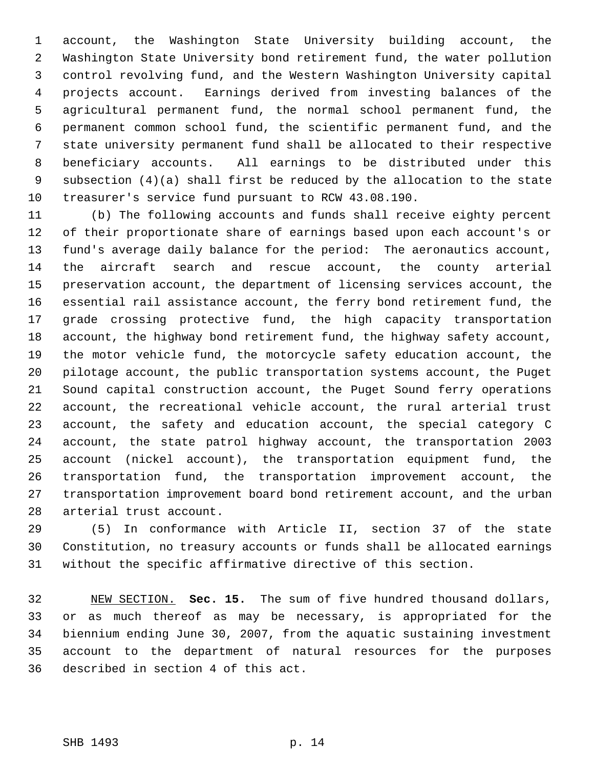account, the Washington State University building account, the Washington State University bond retirement fund, the water pollution control revolving fund, and the Western Washington University capital projects account. Earnings derived from investing balances of the agricultural permanent fund, the normal school permanent fund, the permanent common school fund, the scientific permanent fund, and the state university permanent fund shall be allocated to their respective beneficiary accounts. All earnings to be distributed under this subsection (4)(a) shall first be reduced by the allocation to the state treasurer's service fund pursuant to RCW 43.08.190.

 (b) The following accounts and funds shall receive eighty percent of their proportionate share of earnings based upon each account's or fund's average daily balance for the period: The aeronautics account, the aircraft search and rescue account, the county arterial preservation account, the department of licensing services account, the essential rail assistance account, the ferry bond retirement fund, the grade crossing protective fund, the high capacity transportation account, the highway bond retirement fund, the highway safety account, the motor vehicle fund, the motorcycle safety education account, the pilotage account, the public transportation systems account, the Puget Sound capital construction account, the Puget Sound ferry operations account, the recreational vehicle account, the rural arterial trust account, the safety and education account, the special category C account, the state patrol highway account, the transportation 2003 account (nickel account), the transportation equipment fund, the transportation fund, the transportation improvement account, the transportation improvement board bond retirement account, and the urban arterial trust account.

 (5) In conformance with Article II, section 37 of the state Constitution, no treasury accounts or funds shall be allocated earnings without the specific affirmative directive of this section.

 NEW SECTION. **Sec. 15.** The sum of five hundred thousand dollars, or as much thereof as may be necessary, is appropriated for the biennium ending June 30, 2007, from the aquatic sustaining investment account to the department of natural resources for the purposes described in section 4 of this act.